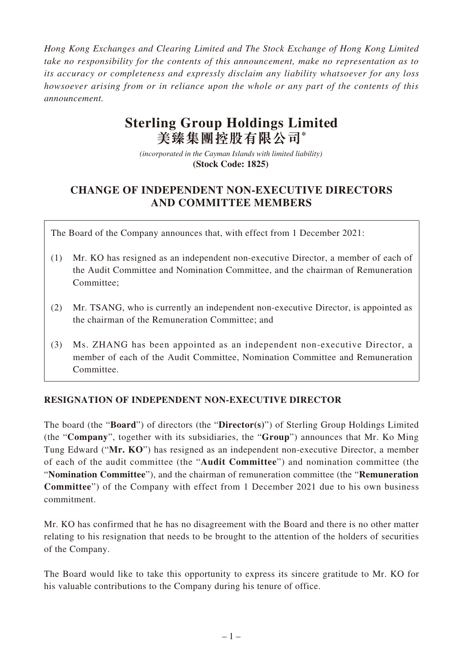*Hong Kong Exchanges and Clearing Limited and The Stock Exchange of Hong Kong Limited take no responsibility for the contents of this announcement, make no representation as to its accuracy or completeness and expressly disclaim any liability whatsoever for any loss howsoever arising from or in reliance upon the whole or any part of the contents of this announcement.*

# **Sterling Group Holdings Limited 美臻集團控股有限公司\***

*(incorporated in the Cayman Islands with limited liability)*  **(Stock Code: 1825)** 

# **CHANGE OF INDEPENDENT NON-EXECUTIVE DIRECTORS AND COMMITTEE MEMBERS**

The Board of the Company announces that, with effect from 1 December 2021:

- (1) Mr. KO has resigned as an independent non-executive Director, a member of each of the Audit Committee and Nomination Committee, and the chairman of Remuneration Committee;
- (2) Mr. TSANG, who is currently an independent non-executive Director, is appointed as the chairman of the Remuneration Committee; and
- (3) Ms. ZHANG has been appointed as an independent non-executive Director, a member of each of the Audit Committee, Nomination Committee and Remuneration Committee.

## **RESIGNATION OF INDEPENDENT NON-EXECUTIVE DIRECTOR**

The board (the "**Board**") of directors (the "**Director(s)**") of Sterling Group Holdings Limited (the "**Company**", together with its subsidiaries, the "**Group**") announces that Mr. Ko Ming Tung Edward ("**Mr. KO**") has resigned as an independent non-executive Director, a member of each of the audit committee (the "**Audit Committee**") and nomination committee (the "**Nomination Committee**"), and the chairman of remuneration committee (the "**Remuneration Committee**") of the Company with effect from 1 December 2021 due to his own business commitment.

Mr. KO has confirmed that he has no disagreement with the Board and there is no other matter relating to his resignation that needs to be brought to the attention of the holders of securities of the Company.

The Board would like to take this opportunity to express its sincere gratitude to Mr. KO for his valuable contributions to the Company during his tenure of office.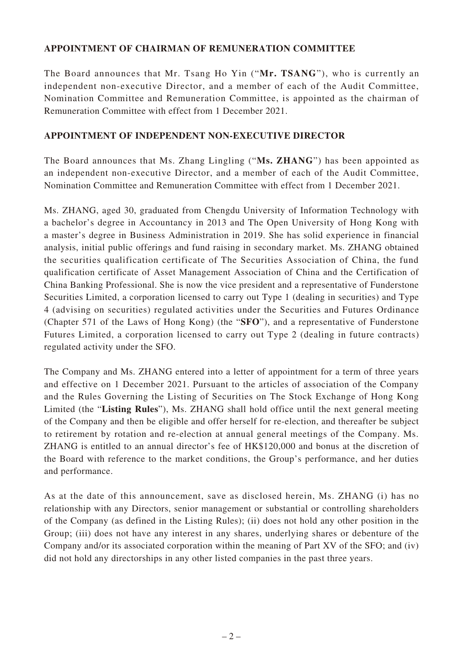### **APPOINTMENT OF CHAIRMAN OF REMUNERATION COMMITTEE**

The Board announces that Mr. Tsang Ho Yin ("**Mr. TSANG**"), who is currently an independent non-executive Director, and a member of each of the Audit Committee, Nomination Committee and Remuneration Committee, is appointed as the chairman of Remuneration Committee with effect from 1 December 2021.

### **APPOINTMENT OF INDEPENDENT NON-EXECUTIVE DIRECTOR**

The Board announces that Ms. Zhang Lingling ("**Ms. ZHANG**") has been appointed as an independent non-executive Director, and a member of each of the Audit Committee, Nomination Committee and Remuneration Committee with effect from 1 December 2021.

Ms. ZHANG, aged 30, graduated from Chengdu University of Information Technology with a bachelor's degree in Accountancy in 2013 and The Open University of Hong Kong with a master's degree in Business Administration in 2019. She has solid experience in financial analysis, initial public offerings and fund raising in secondary market. Ms. ZHANG obtained the securities qualification certificate of The Securities Association of China, the fund qualification certificate of Asset Management Association of China and the Certification of China Banking Professional. She is now the vice president and a representative of Funderstone Securities Limited, a corporation licensed to carry out Type 1 (dealing in securities) and Type 4 (advising on securities) regulated activities under the Securities and Futures Ordinance (Chapter 571 of the Laws of Hong Kong) (the "**SFO**"), and a representative of Funderstone Futures Limited, a corporation licensed to carry out Type 2 (dealing in future contracts) regulated activity under the SFO.

The Company and Ms. ZHANG entered into a letter of appointment for a term of three years and effective on 1 December 2021. Pursuant to the articles of association of the Company and the Rules Governing the Listing of Securities on The Stock Exchange of Hong Kong Limited (the "**Listing Rules**"), Ms. ZHANG shall hold office until the next general meeting of the Company and then be eligible and offer herself for re-election, and thereafter be subject to retirement by rotation and re-election at annual general meetings of the Company. Ms. ZHANG is entitled to an annual director's fee of HK\$120,000 and bonus at the discretion of the Board with reference to the market conditions, the Group's performance, and her duties and performance.

As at the date of this announcement, save as disclosed herein, Ms. ZHANG (i) has no relationship with any Directors, senior management or substantial or controlling shareholders of the Company (as defined in the Listing Rules); (ii) does not hold any other position in the Group; (iii) does not have any interest in any shares, underlying shares or debenture of the Company and/or its associated corporation within the meaning of Part XV of the SFO; and (iv) did not hold any directorships in any other listed companies in the past three years.